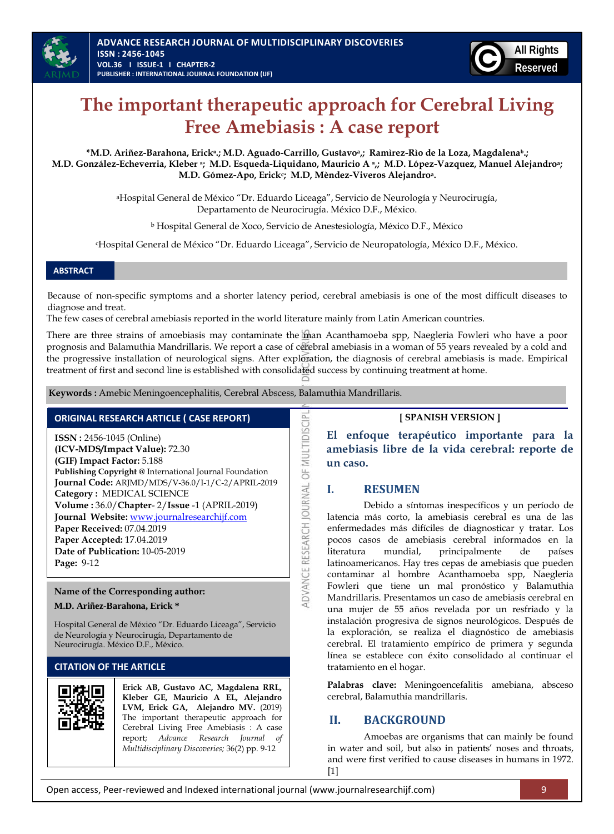



# **The important therapeutic approach for Cerebral Living Free Amebiasis : A case report**

**\*M.D. Ariñez-Barahona, Erickᵃ.; M.D. Aguado-Carrillo, Gustavoa,; Ramìrez-Rìo de la Loza, Magdalenaᵇ.; M.D. González-Echeverria, Kleber ᵃ; M.D. Esqueda-Liquidano, Mauricio A ᵃ,; M.D. López-Vazquez, Manuel Alejandroa; M.D. Gómez-Apo, Erick<sup>c</sup> ; M.D, Mèndez-Viveros Alejandroa.**

> <sup>a</sup>Hospital General de México "Dr. Eduardo Liceaga", Servicio de Neurología y Neurocirugía, Departamento de Neurocirugía. México D.F., México.

<sup>b</sup> Hospital General de Xoco, Servicio de Anestesiología, México D.F., México

<sup>c</sup>Hospital General de México "Dr. Eduardo Liceaga", Servicio de Neuropatología, México D.F., México.

#### **ABSTRACT**

Because of non-specific symptoms and a shorter latency period, cerebral amebiasis is one of the most difficult diseases to diagnose and treat.

The few cases of cerebral amebiasis reported in the world literature mainly from Latin American countries.

There are three strains of amoebiasis may contaminate the man Acanthamoeba spp, Naegleria Fowleri who have a poor prognosis and Balamuthia Mandrillaris. We report a case of cerebral amebiasis in a woman of 55 years revealed by a cold and the progressive installation of neurological signs. After exploration, the diagnosis of cerebral amebiasis is made. Empirical treatment of first and second line is established with consolidated success by continuing treatment at home.

ADVANCE RESEARCH JOURNAL OF MULTIDISCIPI

**Keywords :** Amebic Meningoencephalitis, Cerebral Abscess, Balamuthia Mandrillaris.

# **ORIGINAL RESEARCH ARTICLE ( CASE REPORT)**

**ISSN :** 2456-1045 (Online) **(ICV-MDS/Impact Value):** 72.30 **(GIF) Impact Factor:** 5.188 **Publishing Copyright @** International Journal Foundation **Journal Code:** ARJMD/MDS/V-36.0/I-1/C-2/APRIL-2019 **Category :** MEDICAL SCIENCE **Volume :** 36.0/**Chapter**- 2/**Issue** -1 (APRIL-2019) **Journal Website:** [www.journalresearchijf.com](http://www.journalresearchijf.com/) **Paper Received:** 07.04.2019 **Paper Accepted:** 17.04.2019 **Date of Publication:** 10-05-2019 **Page:** 9-12

#### **Name of the Corresponding author: M.D. Ariñez-Barahona, Erick \***

Hospital General de México "Dr. Eduardo Liceaga", Servicio de Neurología y Neurocirugía, Departamento de Neurocirugía. México D.F., México.

#### **CITATION OF THE ARTICLE**



**Erick AB, Gustavo AC, Magdalena RRL, Kleber GE, Mauricio A EL, Alejandro LVM, Erick GA, Alejandro MV.** (2019) The important therapeutic approach for Cerebral Living Free Amebiasis : A case report; *Advance Research Journal of Multidisciplinary Discoveries;* 36(2) pp. 9-12

#### **[ SPANISH VERSION ]**

**El enfoque terapéutico importante para la amebiasis libre de la vida cerebral: reporte de un caso.**

#### **I. RESUMEN**

Debido a síntomas inespecíficos y un período de latencia más corto, la amebiasis cerebral es una de las enfermedades más difíciles de diagnosticar y tratar. Los pocos casos de amebiasis cerebral informados en la literatura mundial, principalmente de países latinoamericanos. Hay tres cepas de amebiasis que pueden contaminar al hombre Acanthamoeba spp, Naegleria Fowleri que tiene un mal pronóstico y Balamuthia Mandrillaris. Presentamos un caso de amebiasis cerebral en una mujer de 55 años revelada por un resfriado y la instalación progresiva de signos neurológicos. Después de la exploración, se realiza el diagnóstico de amebiasis cerebral. El tratamiento empírico de primera y segunda línea se establece con éxito consolidado al continuar el tratamiento en el hogar.

**Palabras clave:** Meningoencefalitis amebiana, absceso cerebral, Balamuthia mandrillaris.

## **II. BACKGROUND**

Amoebas are organisms that can mainly be found in water and soil, but also in patients' noses and throats, and were first verified to cause diseases in humans in 1972. [\[1\]](#page-2-0)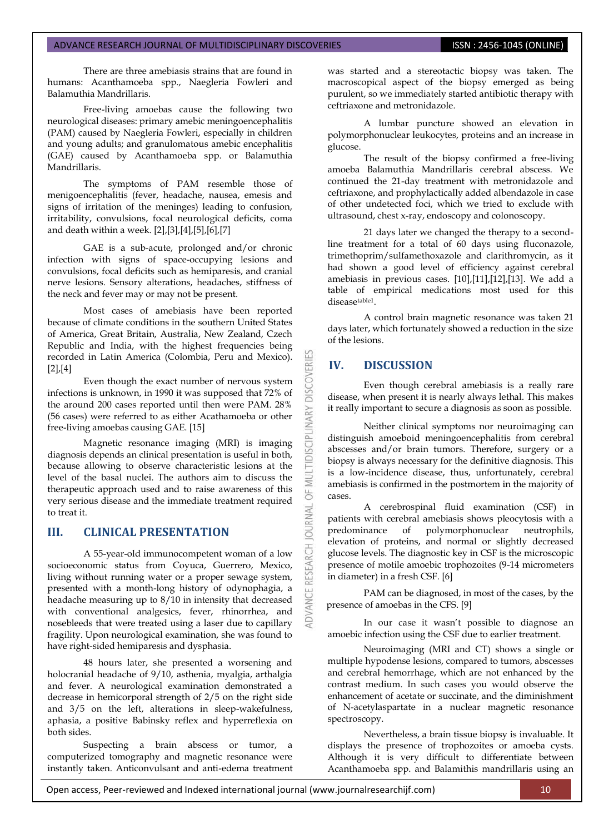#### ADVANCE RESEARCH JOURNAL OF MULTIDISCIPLINARY DISCOVERIES **ISSN : 2456-1045 (ONLINE)**

There are three amebiasis strains that are found in humans: Acanthamoeba spp., Naegleria Fowleri and Balamuthia Mandrillaris.

Free-living amoebas cause the following two neurological diseases: primary amebic meningoencephalitis (PAM) caused by Naegleria Fowleri, especially in children and young adults; and granulomatous amebic encephalitis (GAE) caused by Acanthamoeba spp. or Balamuthia Mandrillaris.

The symptoms of PAM resemble those of menigoencephalitis (fever, headache, nausea, emesis and signs of irritation of the meninges) leading to confusion, irritability, convulsions, focal neurological deficits, coma and death within a week. [\[2\],](#page-2-1)[\[3\]](#page-2-2)[,\[4\]](#page-2-3)[,\[5\]](#page-2-4)[,\[6\],](#page-2-5)[\[7\]](#page-2-6)

GAE is a sub-acute, prolonged and/or chronic infection with signs of space-occupying lesions and convulsions, focal deficits such as hemiparesis, and cranial nerve lesions. Sensory alterations, headaches, stiffness of the neck and fever may or may not be present.

Most cases of amebiasis have been reported because of climate conditions in the southern United States of America, Great Britain, Australia, New Zealand, Czech Republic and India, with the highest frequencies being recorded in Latin America (Colombia, Peru and Mexico). [\[2\],](#page-2-1)[\[4\]](#page-2-3)

Even though the exact number of nervous system infections is unknown, in 1990 it was supposed that 72% of the around 200 cases reported until then were PAM. 28% (56 cases) were referred to as either Acathamoeba or other free-living amoebas causing GAE[. \[15\]](#page-3-0)

Magnetic resonance imaging (MRI) is imaging diagnosis depends an clinical presentation is useful in both, because allowing to observe characteristic lesions at the level of the basal nuclei. The authors aim to discuss the therapeutic approach used and to raise awareness of this very serious disease and the immediate treatment required to treat it.

#### **III. CLINICAL PRESENTATION**

A 55-year-old immunocompetent woman of a low socioeconomic status from Coyuca, Guerrero, Mexico, living without running water or a proper sewage system, presented with a month-long history of odynophagia, a headache measuring up to 8/10 in intensity that decreased with conventional analgesics, fever, rhinorrhea, and nosebleeds that were treated using a laser due to capillary fragility. Upon neurological examination, she was found to have right-sided hemiparesis and dysphasia.

48 hours later, she presented a worsening and holocranial headache of 9/10, asthenia, myalgia, arthalgia and fever. A neurological examination demonstrated a decrease in hemicorporal strength of 2/5 on the right side and 3/5 on the left, alterations in sleep-wakefulness, aphasia, a positive Babinsky reflex and hyperreflexia on both sides.

Suspecting a brain abscess or tumor, a computerized tomography and magnetic resonance were instantly taken. Anticonvulsant and anti-edema treatment was started and a stereotactic biopsy was taken. The macroscopical aspect of the biopsy emerged as being purulent, so we immediately started antibiotic therapy with ceftriaxone and metronidazole.

A lumbar puncture showed an elevation in polymorphonuclear leukocytes, proteins and an increase in glucose.

The result of the biopsy confirmed a free-living amoeba Balamuthia Mandrillaris cerebral abscess. We continued the 21-day treatment with metronidazole and ceftriaxone, and prophylactically added albendazole in case of other undetected foci, which we tried to exclude with ultrasound, chest x-ray, endoscopy and colonoscopy.

21 days later we changed the therapy to a secondline treatment for a total of 60 days using fluconazole, trimethoprim/sulfamethoxazole and clarithromycin, as it had shown a good level of efficiency against cerebral amebiasis in previous cases. [\[10\]](#page-3-1)[,\[11\],](#page-3-2)[\[12\]](#page-3-3)[,\[13\].](#page-3-4) We add a table of empirical medications most used for this diseasetable1.

A control brain magnetic resonance was taken 21 days later, which fortunately showed a reduction in the size of the lesions.

# **IV. DISCUSSION**

**DISCOVERI** 

INARY

5F

**OURNAL** 

Even though cerebral amebiasis is a really rare disease, when present it is nearly always lethal. This makes it really important to secure a diagnosis as soon as possible.

Neither clinical symptoms nor neuroimaging can distinguish amoeboid meningoencephalitis from cerebral abscesses and/or brain tumors. Therefore, surgery or a biopsy is always necessary for the definitive diagnosis. This is a low-incidence disease, thus, unfortunately, cerebral amebiasis is confirmed in the postmortem in the majority of cases.

A cerebrospinal fluid examination (CSF) in patients with cerebral amebiasis shows pleocytosis with a predominance of polymorphonuclear neutrophils, elevation of proteins, and normal or slightly decreased glucose levels. The diagnostic key in CSF is the microscopic presence of motile amoebic trophozoites (9-14 micrometers in diameter) in a fresh CSF[. \[6\]](#page-2-5)

PAM can be diagnosed, in most of the cases, by the presence of amoebas in the CFS[. \[9\]](#page-2-7)

In our case it wasn't possible to diagnose an amoebic infection using the CSF due to earlier treatment.

Neuroimaging (MRI and CT) shows a single or multiple hypodense lesions, compared to tumors, abscesses and cerebral hemorrhage, which are not enhanced by the contrast medium. In such cases you would observe the enhancement of acetate or succinate, and the diminishment of N-acetylaspartate in a nuclear magnetic resonance spectroscopy.

Nevertheless, a brain tissue biopsy is invaluable. It displays the presence of trophozoites or amoeba cysts. Although it is very difficult to differentiate between Acanthamoeba spp. and Balamithis mandrillaris using an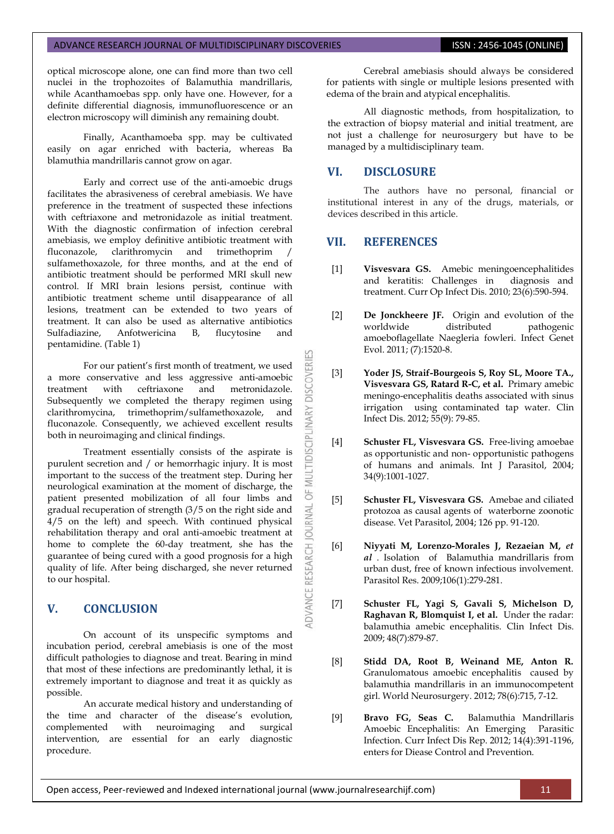optical microscope alone, one can find more than two cell nuclei in the trophozoites of Balamuthia mandrillaris, while Acanthamoebas spp. only have one. However, for a definite differential diagnosis, immunofluorescence or an electron microscopy will diminish any remaining doubt.

Finally, Acanthamoeba spp. may be cultivated easily on agar enriched with bacteria, whereas Ba blamuthia mandrillaris cannot grow on agar.

Early and correct use of the anti-amoebic drugs facilitates the abrasiveness of cerebral amebiasis. We have preference in the treatment of suspected these infections with ceftriaxone and metronidazole as initial treatment. With the diagnostic confirmation of infection cerebral amebiasis, we employ definitive antibiotic treatment with<br>fluconazole. clarithromycin and trimethoprim / clarithromycin and trimethoprim sulfamethoxazole, for three months, and at the end of antibiotic treatment should be performed MRI skull new control. If MRI brain lesions persist, continue with antibiotic treatment scheme until disappearance of all lesions, treatment can be extended to two years of treatment. It can also be used as alternative antibiotics Sulfadiazine, Anfotwericina B, flucytosine and pentamidine. (Table 1)

For our patient's first month of treatment, we used a more conservative and less aggressive anti-amoebic treatment with ceftriaxone and metronidazole. Subsequently we completed the therapy regimen using clarithromycina, trimethoprim/sulfamethoxazole, and fluconazole. Consequently, we achieved excellent results both in neuroimaging and clinical findings.

Treatment essentially consists of the aspirate is purulent secretion and / or hemorrhagic injury. It is most important to the success of the treatment step. During her neurological examination at the moment of discharge, the patient presented mobilization of all four limbs and gradual recuperation of strength (3/5 on the right side and 4/5 on the left) and speech. With continued physical rehabilitation therapy and oral anti-amoebic treatment at home to complete the 60-day treatment, she has the guarantee of being cured with a good prognosis for a high quality of life. After being discharged, she never returned to our hospital.

## **V. CONCLUSION**

On account of its unspecific symptoms and incubation period, cerebral amebiasis is one of the most difficult pathologies to diagnose and treat. Bearing in mind that most of these infections are predominantly lethal, it is extremely important to diagnose and treat it as quickly as possible.

An accurate medical history and understanding of the time and character of the disease's evolution, complemented with neuroimaging and surgical intervention, are essential for an early diagnostic procedure.

Cerebral amebiasis should always be considered for patients with single or multiple lesions presented with edema of the brain and atypical encephalitis.

All diagnostic methods, from hospitalization, to the extraction of biopsy material and initial treatment, are not just a challenge for neurosurgery but have to be managed by a multidisciplinary team.

# **VI. DISCLOSURE**

The authors have no personal, financial or institutional interest in any of the drugs, materials, or devices described in this article.

#### **VII. REFERENCES**

OF MULTIDISCIPLINARY DISCOVERI

JOURNAL

DVANCE RESEARCH

- <span id="page-2-0"></span>[1] **Visvesvara GS.** [Amebic meningoencephalitides](http://www.scopus.com/record/display.url?eid=2-s2.0-78349308119&origin=resultslist&sort=plf-f&src=s&imp=t&sid=qhAc6Ea_kd-nZ-7Cb93eHw2%3a130&sot=br&sdt=a&sl=56&s=SOURCE-ID%2821844%29+AND+PUBYEAR+IS+2010+AND+NOT+DOCTYPE%28ip%29&relpos=6&relpos=6&searchTerm=SOURCE-ID%2821844%29%20AND%20PUBYEAR%20IS%202010%20AND%20NOT%20DOCTYPE%28ip%29)  [and keratitis: Challenges in](http://www.scopus.com/record/display.url?eid=2-s2.0-78349308119&origin=resultslist&sort=plf-f&src=s&imp=t&sid=qhAc6Ea_kd-nZ-7Cb93eHw2%3a130&sot=br&sdt=a&sl=56&s=SOURCE-ID%2821844%29+AND+PUBYEAR+IS+2010+AND+NOT+DOCTYPE%28ip%29&relpos=6&relpos=6&searchTerm=SOURCE-ID%2821844%29%20AND%20PUBYEAR%20IS%202010%20AND%20NOT%20DOCTYPE%28ip%29) [diagnosis and](http://www.scopus.com/record/display.url?eid=2-s2.0-78349308119&origin=resultslist&sort=plf-f&src=s&imp=t&sid=qhAc6Ea_kd-nZ-7Cb93eHw2%3a130&sot=br&sdt=a&sl=56&s=SOURCE-ID%2821844%29+AND+PUBYEAR+IS+2010+AND+NOT+DOCTYPE%28ip%29&relpos=6&relpos=6&searchTerm=SOURCE-ID%2821844%29%20AND%20PUBYEAR%20IS%202010%20AND%20NOT%20DOCTYPE%28ip%29)  [treatment.](http://www.scopus.com/record/display.url?eid=2-s2.0-78349308119&origin=resultslist&sort=plf-f&src=s&imp=t&sid=qhAc6Ea_kd-nZ-7Cb93eHw2%3a130&sot=br&sdt=a&sl=56&s=SOURCE-ID%2821844%29+AND+PUBYEAR+IS+2010+AND+NOT+DOCTYPE%28ip%29&relpos=6&relpos=6&searchTerm=SOURCE-ID%2821844%29%20AND%20PUBYEAR%20IS%202010%20AND%20NOT%20DOCTYPE%28ip%29) Curr Op Infect Dis. 2010; 23(6):590-594.
- <span id="page-2-1"></span>[2] **De Jonckheere JF.** [Origin and evolution of the](http://www.sciencedirect.com/science/article/pii/S1567134811002784)  pathogenic [amoeboflagellate Naegleria fowleri.](http://www.sciencedirect.com/science/article/pii/S1567134811002784) Infect Genet Evol. 2011; (7):1520-8.
- <span id="page-2-2"></span>[3] **Yoder JS, Straif-Bourgeois S, Roy SL, Moore TA., Visvesvara GS, Ratard R-C, et al.** [Primary amebic](http://cid.oxfordjournals.org/content/55/9/e79.full)  [meningo-encephalitis deaths associated with sinus](http://cid.oxfordjournals.org/content/55/9/e79.full)  [irrigation](http://cid.oxfordjournals.org/content/55/9/e79.full) [using contaminated tap water.](http://cid.oxfordjournals.org/content/55/9/e79.full) Clin Infect Dis. 2012; 55(9): 79-85.
- <span id="page-2-3"></span>[4] **Schuster FL, Visvesvara GS.** [Free-living amoebae](http://www.sciencedirect.com/science?_ob=ArticleURL&_aset=V-WA-A-W-ABE-MsSAYZW-UUW-U-AAABWVWWUU-AAAUYWBUUU-EDYYAVVUA-ABE-U&_rdoc=3&_fmt=full&_udi=B6T7F-4CXKKGM-1&_coverDate=08%2F01%2F2004&_cdi=5057&_orig=search&_st=13&_sort=d&view=c&_acct=C000048981&_version=1&_urlVersion=0&_userid=945819&md5=893e58399655a807b012037be7b80bb3)  [as opportunistic and non-](http://www.sciencedirect.com/science?_ob=ArticleURL&_aset=V-WA-A-W-ABE-MsSAYZW-UUW-U-AAABWVWWUU-AAAUYWBUUU-EDYYAVVUA-ABE-U&_rdoc=3&_fmt=full&_udi=B6T7F-4CXKKGM-1&_coverDate=08%2F01%2F2004&_cdi=5057&_orig=search&_st=13&_sort=d&view=c&_acct=C000048981&_version=1&_urlVersion=0&_userid=945819&md5=893e58399655a807b012037be7b80bb3) [opportunistic pathogens](http://www.sciencedirect.com/science?_ob=ArticleURL&_aset=V-WA-A-W-ABE-MsSAYZW-UUW-U-AAABWVWWUU-AAAUYWBUUU-EDYYAVVUA-ABE-U&_rdoc=3&_fmt=full&_udi=B6T7F-4CXKKGM-1&_coverDate=08%2F01%2F2004&_cdi=5057&_orig=search&_st=13&_sort=d&view=c&_acct=C000048981&_version=1&_urlVersion=0&_userid=945819&md5=893e58399655a807b012037be7b80bb3)  [of humans and animals.](http://www.sciencedirect.com/science?_ob=ArticleURL&_aset=V-WA-A-W-ABE-MsSAYZW-UUW-U-AAABWVWWUU-AAAUYWBUUU-EDYYAVVUA-ABE-U&_rdoc=3&_fmt=full&_udi=B6T7F-4CXKKGM-1&_coverDate=08%2F01%2F2004&_cdi=5057&_orig=search&_st=13&_sort=d&view=c&_acct=C000048981&_version=1&_urlVersion=0&_userid=945819&md5=893e58399655a807b012037be7b80bb3) Int J Parasitol, 2004; 34(9):1001-1027.
- <span id="page-2-4"></span>[5] **Schuster FL, Visvesvara GS.** [Amebae and ciliated](http://www.sciencedirect.com/science?_ob=ArticleURL&_udi=B6TD7-4DPYMX0-3&_user=945819&_coverDate=12/09/2004&_rdoc=9&_fmt=high&_orig=browse&_srch=doc-info%28#toc%235191%232004%23998739998%23530592%23FLA%23display%23Volume%29&_cdi=5191&_sort=d&_docanchor=&view=c&_ct=15&_acct=C000048981&_version=1&_urlVersion=0&_userid=945819&md5=8dc8756a98265e33f33fb60f334abed5)  [protozoa as causal agents of waterborne zoonotic](http://www.sciencedirect.com/science?_ob=ArticleURL&_udi=B6TD7-4DPYMX0-3&_user=945819&_coverDate=12/09/2004&_rdoc=9&_fmt=high&_orig=browse&_srch=doc-info%28#toc%235191%232004%23998739998%23530592%23FLA%23display%23Volume%29&_cdi=5191&_sort=d&_docanchor=&view=c&_ct=15&_acct=C000048981&_version=1&_urlVersion=0&_userid=945819&md5=8dc8756a98265e33f33fb60f334abed5)  [disease.](http://www.sciencedirect.com/science?_ob=ArticleURL&_udi=B6TD7-4DPYMX0-3&_user=945819&_coverDate=12/09/2004&_rdoc=9&_fmt=high&_orig=browse&_srch=doc-info%28#toc%235191%232004%23998739998%23530592%23FLA%23display%23Volume%29&_cdi=5191&_sort=d&_docanchor=&view=c&_ct=15&_acct=C000048981&_version=1&_urlVersion=0&_userid=945819&md5=8dc8756a98265e33f33fb60f334abed5) Vet Parasitol, 2004; 126 pp. 91-120.
- <span id="page-2-5"></span>[6] **Niyyati M, Lorenzo-Morales J, Rezaeian M,** *et al* [. Isolation of Balamuthia mandrillaris from](http://www.springerlink.com/content/m118850505j24q31/)  [urban dust, free of known infectious involvement.](http://www.springerlink.com/content/m118850505j24q31/) Parasitol Res. 2009;106(1):279-281.
- <span id="page-2-6"></span>[7] **Schuster FL, Yagi S, Gavali S, Michelson D, Raghavan R, Blomquist I, et al.** [Under the radar:](http://www.journals.uchicago.edu/doi/abs/10.1086/597260)  [balamuthia amebic encephalitis.](http://www.journals.uchicago.edu/doi/abs/10.1086/597260) Clin Infect Dis. 2009; 48(7):879-87.
- [8] **Stidd DA, Root B, Weinand ME, Anton R.** [Granulomatous amoebic encephalitis caused by](http://www.sciencedirect.com/science/article/pii/S1878875011013143)  [balamuthia mandrillaris in an immunocompetent](http://www.sciencedirect.com/science/article/pii/S1878875011013143)  [girl.](http://www.sciencedirect.com/science/article/pii/S1878875011013143) World Neurosurgery. 2012; 78(6):715, 7-12.
- <span id="page-2-7"></span>[9] **Bravo FG, Seas C.** [Balamuthia Mandrillaris](http://www.springerlink.com/content/15236180317782m2/)  [Amoebic Encephalitis: An Emerging](http://www.springerlink.com/content/15236180317782m2/) [Parasitic](http://www.springerlink.com/content/15236180317782m2/)  [Infection.](http://www.springerlink.com/content/15236180317782m2/) Curr Infect Dis Rep. 2012; 14(4):391-1196, enters for Diease Control and Prevention.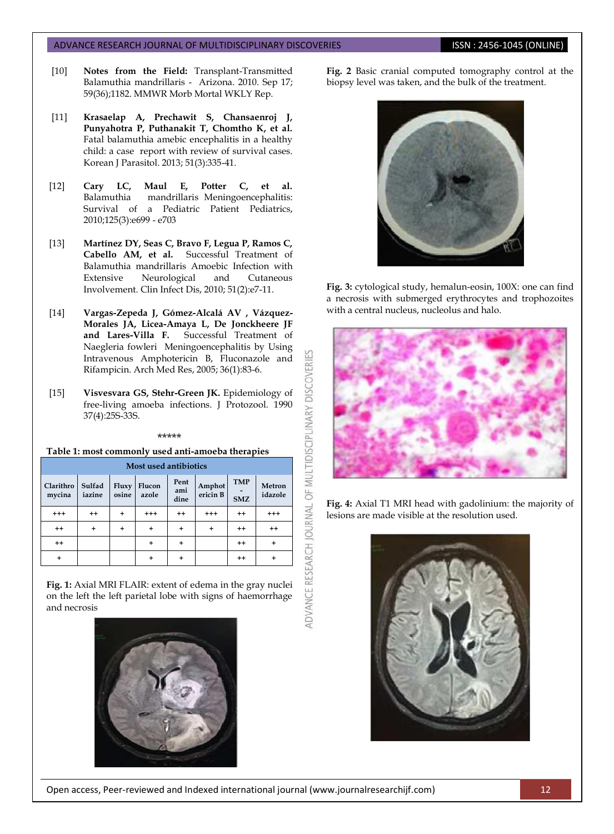#### ADVANCE RESEARCH JOURNAL OF MULTIDISCIPLINARY DISCOVERIES **ISSN : 2456-1045 (ONLINE)**

- <span id="page-3-1"></span>[10] **[Notes from the Field:](http://www.cdc.gov/mmwr/preview/mmwrhtml/mm5936a4.htm?s_cid=mm5936a4_w)** Transplant-Transmitted [Balamuthia mandrillaris -](http://www.cdc.gov/mmwr/preview/mmwrhtml/mm5936a4.htm?s_cid=mm5936a4_w) [Arizona. 2010.](http://www.cdc.gov/mmwr/preview/mmwrhtml/mm5936a4.htm?s_cid=mm5936a4_w) Sep 17; 59(36);1182. MMWR Morb Mortal WKLY Rep.
- <span id="page-3-2"></span>[11] **Krasaelap A, Prechawit S, Chansaenroj J, Punyahotra P, Puthanakit T, Chomtho K, et al.** [Fatal balamuthia amebic encephalitis in a healthy](http://www.ncbi.nlm.nih.gov/pmc/articles/PMC3712108/)  [child: a case report with review of survival cases.](http://www.ncbi.nlm.nih.gov/pmc/articles/PMC3712108/) Korean J Parasitol. 2013; 51(3):335-41.
- <span id="page-3-3"></span>[12] **Cary LC, Maul E, Potter C, et al.** [Balamuthia mandrillaris](http://pediatrics.aappublications.org/content/125/3/e699) [Meningoencephalitis:](http://pediatrics.aappublications.org/content/125/3/e699)  [Survival of a Pediatric Patient](http://pediatrics.aappublications.org/content/125/3/e699) Pediatrics, 2010;125(3):e699 - e703
- <span id="page-3-4"></span>[13] **Martínez DY, Seas C, Bravo F, Legua P, Ramos C, Cabello AM, et al.** [Successful Treatment of](http://www.journals.uchicago.edu/doi/abs/10.1086/653609)  [Balamuthia mandrillaris Amoebic Infection with](http://www.journals.uchicago.edu/doi/abs/10.1086/653609)  [Extensive Neurological and Cutaneous](http://www.journals.uchicago.edu/doi/abs/10.1086/653609)  [Involvement.](http://www.journals.uchicago.edu/doi/abs/10.1086/653609) Clin Infect Dis, 2010; 51(2):e7-11.
- [14] **Vargas-Zepeda J, Gómez-Alcalá AV , Vázquez-Morales JA, Licea-Amaya L, De Jonckheere JF and Lares-Villa F.** [Successful Treatment of](http://www.sciencedirect.com/science?_ob=ArticleURL&_udi=B6VNM-4FR3992-K&_user=945819&_handle=V-WA-A-W-WU-MsSAYVA-UUA-U-AABWWECEEB-AAWEYDZDEB-VABEZCYUD-WU-U&_fmt=full&_coverDate=01%2F31%2F2005&_rdoc=17&_orig=browse&_srch=%23toc%236182%232005%23999639998%23584210%21&_cdi=6182&view=c&_acct=C000048981&_version=1&_urlVersion=0&_userid=945819&md5=9758a82d7f522ab296ffbb7940b619bf)  [Naegleria fowleri Meningoencephalitis by Using](http://www.sciencedirect.com/science?_ob=ArticleURL&_udi=B6VNM-4FR3992-K&_user=945819&_handle=V-WA-A-W-WU-MsSAYVA-UUA-U-AABWWECEEB-AAWEYDZDEB-VABEZCYUD-WU-U&_fmt=full&_coverDate=01%2F31%2F2005&_rdoc=17&_orig=browse&_srch=%23toc%236182%232005%23999639998%23584210%21&_cdi=6182&view=c&_acct=C000048981&_version=1&_urlVersion=0&_userid=945819&md5=9758a82d7f522ab296ffbb7940b619bf)  [Intravenous Amphotericin B, Fluconazole and](http://www.sciencedirect.com/science?_ob=ArticleURL&_udi=B6VNM-4FR3992-K&_user=945819&_handle=V-WA-A-W-WU-MsSAYVA-UUA-U-AABWWECEEB-AAWEYDZDEB-VABEZCYUD-WU-U&_fmt=full&_coverDate=01%2F31%2F2005&_rdoc=17&_orig=browse&_srch=%23toc%236182%232005%23999639998%23584210%21&_cdi=6182&view=c&_acct=C000048981&_version=1&_urlVersion=0&_userid=945819&md5=9758a82d7f522ab296ffbb7940b619bf)  [Rifampicin.](http://www.sciencedirect.com/science?_ob=ArticleURL&_udi=B6VNM-4FR3992-K&_user=945819&_handle=V-WA-A-W-WU-MsSAYVA-UUA-U-AABWWECEEB-AAWEYDZDEB-VABEZCYUD-WU-U&_fmt=full&_coverDate=01%2F31%2F2005&_rdoc=17&_orig=browse&_srch=%23toc%236182%232005%23999639998%23584210%21&_cdi=6182&view=c&_acct=C000048981&_version=1&_urlVersion=0&_userid=945819&md5=9758a82d7f522ab296ffbb7940b619bf) Arch Med Res, 2005; 36(1):83-6.
- <span id="page-3-0"></span>[15] **Visvesvara GS, Stehr-Green JK.** Epidemiology of free-living amoeba infections. J Protozool. 1990 37(4):25S-33S.

#### \*\*\*\*\*

#### **Table 1: most commonly used anti-amoeba therapies**

| Most used antibiotics |                  |                |                 |                     |                    |                          |                   |
|-----------------------|------------------|----------------|-----------------|---------------------|--------------------|--------------------------|-------------------|
| Clarithro<br>mycina   | Sulfad<br>iazine | Fluxy<br>osine | Flucon<br>azole | Pent<br>ami<br>dine | Amphot<br>ericin B | <b>TMP</b><br><b>SMZ</b> | Metron<br>idazole |
| $^{+++}$              | $^{++}$          | +              | $^{++}$         | $^{++}$             | $^{+++}$           | $^{++}$                  | $^{+++}$          |
| $^{++}$               | ÷                | ÷              | ÷               | $\ddot{}$           | +                  | $++$                     | $++$              |
| $^{++}$               |                  |                | ÷               | ÷                   |                    | $^{++}$                  |                   |
| $\ddot{}$             |                  |                | +               | ÷                   |                    | $^{++}$                  |                   |

**Fig. 1:** Axial MRI FLAIR: extent of edema in the gray nuclei on the left the left parietal lobe with signs of haemorrhage and necrosis



**Fig. 2** Basic cranial computed tomography control at the biopsy level was taken, and the bulk of the treatment.



**Fig. 3:** cytological study, hemalun-eosin, 100X: one can find a necrosis with submerged erythrocytes and trophozoites with a central nucleus, nucleolus and halo.



**Fig. 4:** Axial T1 MRI head with gadolinium: the majority of lesions are made visible at the resolution used.



Open access, Peer-reviewed and Indexed international journal (www.journalresearchijf.com) 12

ADVANCE RESEARCH JOURNAL OF MULTIDISCIPLINARY DISCOVERI